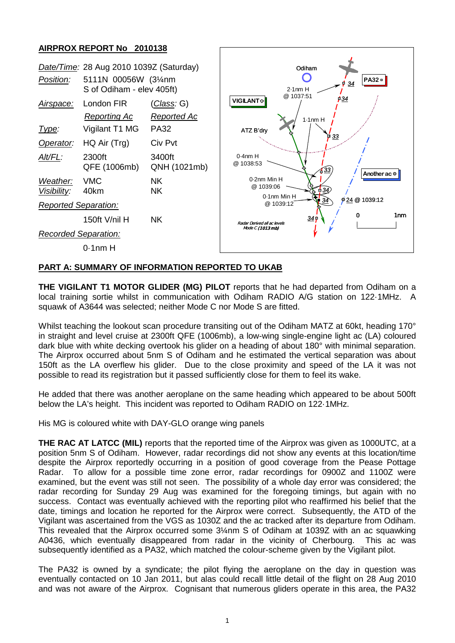## **AIRPROX REPORT No 2010138**



## **PART A: SUMMARY OF INFORMATION REPORTED TO UKAB**

**THE VIGILANT T1 MOTOR GLIDER (MG) PILOT** reports that he had departed from Odiham on a local training sortie whilst in communication with Odiham RADIO A/G station on 122·1MHz. A squawk of A3644 was selected; neither Mode C nor Mode S are fitted.

Whilst teaching the lookout scan procedure transiting out of the Odiham MATZ at 60kt, heading 170° in straight and level cruise at 2300ft QFE (1006mb), a low-wing single-engine light ac (LA) coloured dark blue with white decking overtook his glider on a heading of about 180° with minimal separation. The Airprox occurred about 5nm S of Odiham and he estimated the vertical separation was about 150ft as the LA overflew his glider. Due to the close proximity and speed of the LA it was not possible to read its registration but it passed sufficiently close for them to feel its wake.

He added that there was another aeroplane on the same heading which appeared to be about 500ft below the LA's height. This incident was reported to Odiham RADIO on 122·1MHz.

His MG is coloured white with DAY-GLO orange wing panels

**THE RAC AT LATCC (MIL)** reports that the reported time of the Airprox was given as 1000UTC, at a position 5nm S of Odiham. However, radar recordings did not show any events at this location/time despite the Airprox reportedly occurring in a position of good coverage from the Pease Pottage Radar. To allow for a possible time zone error, radar recordings for 0900Z and 1100Z were examined, but the event was still not seen. The possibility of a whole day error was considered; the radar recording for Sunday 29 Aug was examined for the foregoing timings, but again with no success. Contact was eventually achieved with the reporting pilot who reaffirmed his belief that the date, timings and location he reported for the Airprox were correct. Subsequently, the ATD of the Vigilant was ascertained from the VGS as 1030Z and the ac tracked after its departure from Odiham. This revealed that the Airprox occurred some 3¼nm S of Odiham at 1039Z with an ac squawking A0436, which eventually disappeared from radar in the vicinity of Cherbourg. This ac was subsequently identified as a PA32, which matched the colour-scheme given by the Vigilant pilot.

The PA32 is owned by a syndicate; the pilot flying the aeroplane on the day in question was eventually contacted on 10 Jan 2011, but alas could recall little detail of the flight on 28 Aug 2010 and was not aware of the Airprox. Cognisant that numerous gliders operate in this area, the PA32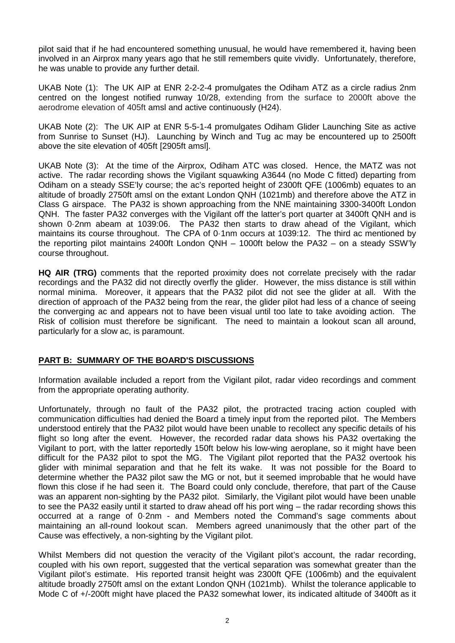pilot said that if he had encountered something unusual, he would have remembered it, having been involved in an Airprox many years ago that he still remembers quite vividly. Unfortunately, therefore, he was unable to provide any further detail.

UKAB Note (1): The UK AIP at ENR 2-2-2-4 promulgates the Odiham ATZ as a circle radius 2nm centred on the longest notified runway 10/28, extending from the surface to 2000ft above the aerodrome elevation of 405ft amsl and active continuously (H24).

UKAB Note (2): The UK AIP at ENR 5-5-1-4 promulgates Odiham Glider Launching Site as active from Sunrise to Sunset (HJ). Launching by Winch and Tug ac may be encountered up to 2500ft above the site elevation of 405ft [2905ft amsl].

UKAB Note (3): At the time of the Airprox, Odiham ATC was closed. Hence, the MATZ was not active. The radar recording shows the Vigilant squawking A3644 (no Mode C fitted) departing from Odiham on a steady SSE'ly course; the ac's reported height of 2300ft QFE (1006mb) equates to an altitude of broadly 2750ft amsl on the extant London QNH (1021mb) and therefore above the ATZ in Class G airspace. The PA32 is shown approaching from the NNE maintaining 3300-3400ft London QNH. The faster PA32 converges with the Vigilant off the latter's port quarter at 3400ft QNH and is shown 0·2nm abeam at 1039:06. The PA32 then starts to draw ahead of the Vigilant, which maintains its course throughout. The CPA of 0·1nm occurs at 1039:12. The third ac mentioned by the reporting pilot maintains 2400ft London QNH – 1000ft below the PA32 – on a steady SSW'ly course throughout.

**HQ AIR (TRG)** comments that the reported proximity does not correlate precisely with the radar recordings and the PA32 did not directly overfly the glider. However, the miss distance is still within normal minima. Moreover, it appears that the PA32 pilot did not see the glider at all. With the direction of approach of the PA32 being from the rear, the glider pilot had less of a chance of seeing the converging ac and appears not to have been visual until too late to take avoiding action. The Risk of collision must therefore be significant. The need to maintain a lookout scan all around, particularly for a slow ac, is paramount.

## **PART B: SUMMARY OF THE BOARD'S DISCUSSIONS**

Information available included a report from the Vigilant pilot, radar video recordings and comment from the appropriate operating authority.

Unfortunately, through no fault of the PA32 pilot, the protracted tracing action coupled with communication difficulties had denied the Board a timely input from the reported pilot. The Members understood entirely that the PA32 pilot would have been unable to recollect any specific details of his flight so long after the event. However, the recorded radar data shows his PA32 overtaking the Vigilant to port, with the latter reportedly 150ft below his low-wing aeroplane, so it might have been difficult for the PA32 pilot to spot the MG. The Vigilant pilot reported that the PA32 overtook his glider with minimal separation and that he felt its wake. It was not possible for the Board to determine whether the PA32 pilot saw the MG or not, but it seemed improbable that he would have flown this close if he had seen it. The Board could only conclude, therefore, that part of the Cause was an apparent non-sighting by the PA32 pilot. Similarly, the Vigilant pilot would have been unable to see the PA32 easily until it started to draw ahead off his port wing – the radar recording shows this occurred at a range of 0·2nm - and Members noted the Command's sage comments about maintaining an all-round lookout scan. Members agreed unanimously that the other part of the Cause was effectively, a non-sighting by the Vigilant pilot.

Whilst Members did not question the veracity of the Vigilant pilot's account, the radar recording, coupled with his own report, suggested that the vertical separation was somewhat greater than the Vigilant pilot's estimate. His reported transit height was 2300ft QFE (1006mb) and the equivalent altitude broadly 2750ft amsl on the extant London QNH (1021mb). Whilst the tolerance applicable to Mode C of +/-200ft might have placed the PA32 somewhat lower, its indicated altitude of 3400ft as it